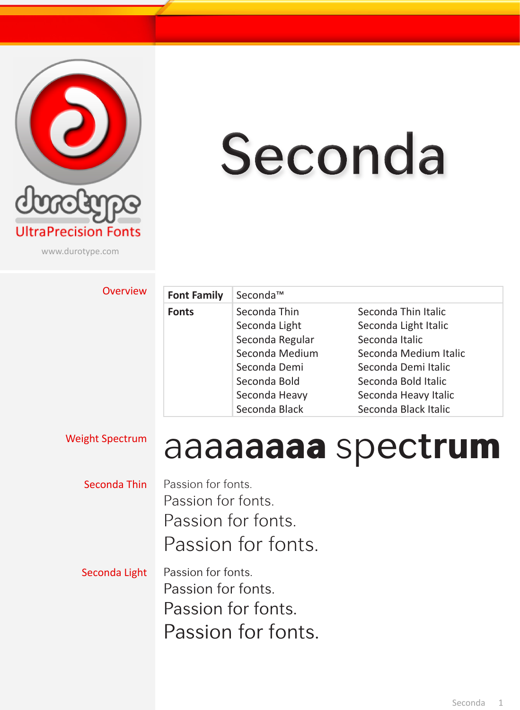

# Seconda

www.durotype.com

#### **Overview**

| <b>Font Family</b> | Seconda™        |                       |
|--------------------|-----------------|-----------------------|
| <b>Fonts</b>       | Seconda Thin    | Seconda Thin Italic   |
|                    | Seconda Light   | Seconda Light Italic  |
|                    | Seconda Regular | Seconda Italic        |
|                    | Seconda Medium  | Seconda Medium Italic |
|                    | Seconda Demi    | Seconda Demi Italic   |
|                    | Seconda Bold    | Seconda Bold Italic   |
|                    | Seconda Heavy   | Seconda Heavy Italic  |
|                    | Seconda Black   | Seconda Black Italic  |

### Weight Spectrum aaaaaaaa spectrum

- Seconda Thin Passion for fonts. Passion for fonts. Passion for fonts. Passion for fonts.
- Seconda Light Passion for fonts. Passion for fonts. Passion for fonts. Passion for fonts.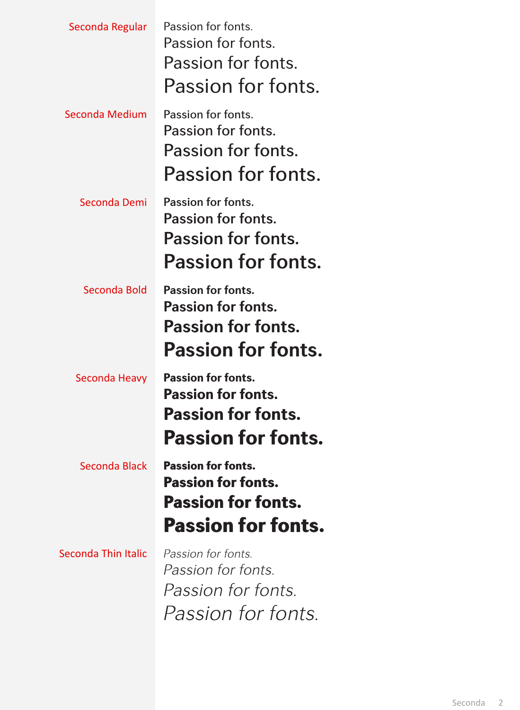| Seconda Regular     | Passion for fonts.<br>Passion for fonts.<br>Passion for fonts.<br>Passion for fonts.                             |
|---------------------|------------------------------------------------------------------------------------------------------------------|
| Seconda Medium      | Passion for fonts.<br>Passion for fonts.<br>Passion for fonts.<br>Passion for fonts.                             |
| Seconda Demi        | Passion for fonts.<br>Passion for fonts.<br><b>Passion for fonts.</b><br>Passion for fonts.                      |
| Seconda Bold        | <b>Passion for fonts.</b><br><b>Passion for fonts.</b><br><b>Passion for fonts.</b><br><b>Passion for fonts.</b> |
| Seconda Heavy       | <b>Passion for fonts.</b><br><b>Passion for fonts.</b><br><b>Passion for fonts.</b><br><b>Passion for fonts.</b> |
| Seconda Black       | <b>Passion for fonts.</b><br><b>Passion for fonts.</b><br><b>Passion for fonts.</b><br><b>Passion for fonts.</b> |
| Seconda Thin Italic | Passion for fonts.<br><i>Passion for fonts.</i><br><i>Passion for fonts.</i><br><i>Passion for fonts.</i>        |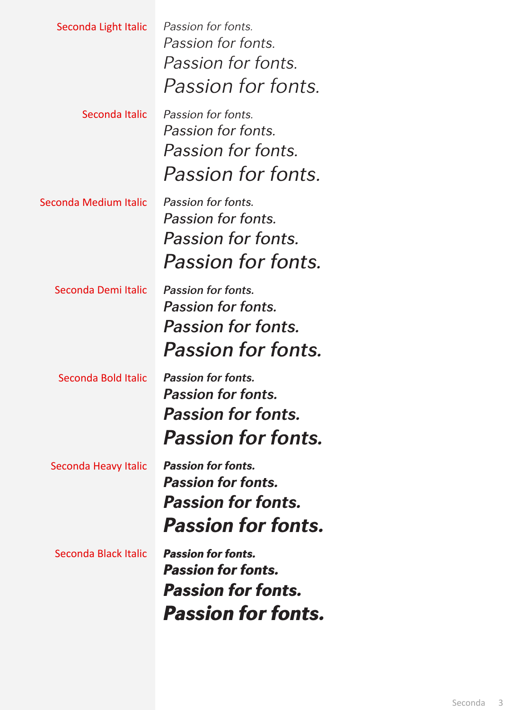| Seconda Black Italic  | <b>Passion for fonts.</b><br><b>Passion for fonts.</b><br><b>Passion for fonts.</b><br><b>Passion for fonts.</b> |
|-----------------------|------------------------------------------------------------------------------------------------------------------|
| Seconda Heavy Italic  | <b>Passion for fonts.</b><br><b>Passion for fonts.</b><br><b>Passion for fonts.</b><br><b>Passion for fonts.</b> |
| Seconda Bold Italic   | <b>Passion for fonts.</b><br><b>Passion for fonts.</b><br><b>Passion for fonts.</b><br><b>Passion for fonts.</b> |
| Seconda Demi Italic   | Passion for fonts.<br><b>Passion for fonts.</b><br><b>Passion for fonts.</b><br><b>Passion for fonts.</b>        |
| Seconda Medium Italic | Passion for fonts.<br>Passion for fonts.<br>Passion for fonts.<br>Passion for fonts.                             |
| Seconda Italic        | Passion for fonts.<br>Passion for fonts.<br><i>Passion for fonts.</i><br><i>Passion for fonts.</i>               |
| Seconda Light Italic  | Passion for fonts.<br>Passion for fonts.<br><i>Passion for fonts.</i><br>Passion for fonts.                      |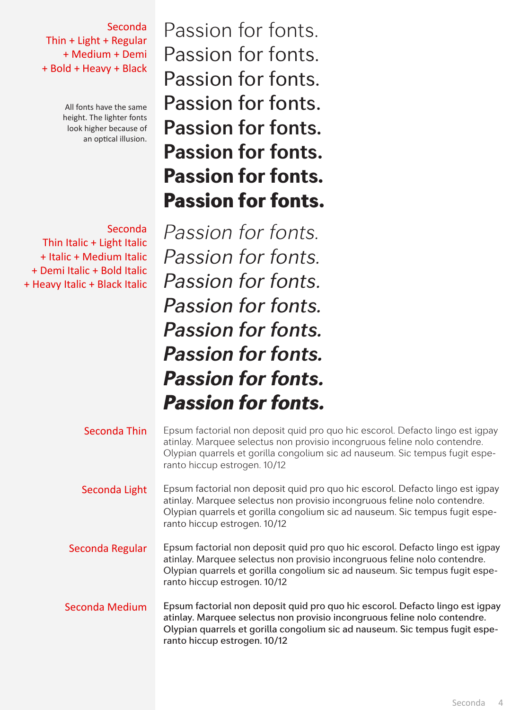Seconda Thin + Light + Regular + Medium + Demi + Bold + Heavy + Black

> All fonts have the same height. The lighter fonts look higher because of an optical illusion.

Seconda Thin Italic + Light Italic + Italic + Medium Italic + Demi Italic + Bold Italic + Heavy Italic + Black Italic

Passion for fonts. Passion for fonts. Passion for fonts. Passion for fonts. Passion for fonts. **Passion for fonts.** Passion for fonts. Passion for fonts.

*Passion for fonts. Passion for fonts. Passion for fonts. Passion for fonts. Passion for fonts. Passion for fonts. Passion for fonts. Passion for fonts.*

| Seconda Thin    | Epsum factorial non deposit quid pro quo hic escorol. Defacto lingo est igpay<br>atinlay. Marquee selectus non provisio incongruous feline nolo contendre.<br>Olypian quarrels et gorilla congolium sic ad nauseum. Sic tempus fugit espe-<br>ranto hiccup estrogen. 10/12 |
|-----------------|----------------------------------------------------------------------------------------------------------------------------------------------------------------------------------------------------------------------------------------------------------------------------|
| Seconda Light   | Epsum factorial non deposit quid pro quo hic escorol. Defacto lingo est igpay<br>atinlay. Marquee selectus non provisio incongruous feline nolo contendre.<br>Olypian quarrels et gorilla congolium sic ad nauseum. Sic tempus fugit espe-<br>ranto hiccup estrogen. 10/12 |
| Seconda Regular | Epsum factorial non deposit quid pro quo hic escorol. Defacto lingo est igpay<br>atinlay. Marquee selectus non provisio incongruous feline nolo contendre.<br>Olypian quarrels et gorilla congolium sic ad nauseum. Sic tempus fugit espe-<br>ranto hiccup estrogen. 10/12 |
| Seconda Medium  | Epsum factorial non deposit quid pro quo hic escorol. Defacto lingo est igpay<br>atinlay. Marquee selectus non provisio incongruous feline nolo contendre.<br>Olypian quarrels et gorilla congolium sic ad nauseum. Sic tempus fugit espe-<br>ranto hiccup estrogen. 10/12 |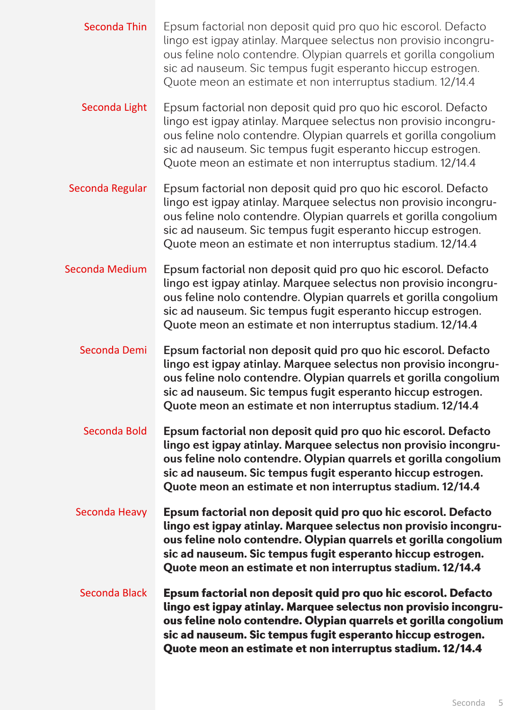- Seconda Thin Epsum factorial non deposit quid pro quo hic escorol. Defacto lingo est igpay atinlay. Marquee selectus non provisio incongruous feline nolo contendre. Olypian quarrels et gorilla congolium sic ad nauseum. Sic tempus fugit esperanto hiccup estrogen. Quote meon an estimate et non interruptus stadium. 12/14.4
- Seconda Light Epsum factorial non deposit quid pro quo hic escorol. Defacto lingo est igpay atinlay. Marquee selectus non provisio incongruous feline nolo contendre. Olypian quarrels et gorilla congolium sic ad nauseum. Sic tempus fugit esperanto hiccup estrogen. Quote meon an estimate et non interruptus stadium. 12/14.4
- Seconda Regular Epsum factorial non deposit quid pro quo hic escorol. Defacto lingo est igpay atinlay. Marquee selectus non provisio incongruous feline nolo contendre. Olypian quarrels et gorilla congolium sic ad nauseum. Sic tempus fugit esperanto hiccup estrogen. Quote meon an estimate et non interruptus stadium. 12/14.4
- Seconda Medium Epsum factorial non deposit quid pro quo hic escorol. Defacto lingo est igpay atinlay. Marquee selectus non provisio incongruous feline nolo contendre. Olypian quarrels et gorilla congolium sic ad nauseum. Sic tempus fugit esperanto hiccup estrogen. Quote meon an estimate et non interruptus stadium. 12/14.4
	- Seconda Demi Epsum factorial non deposit quid pro quo hic escorol. Defacto lingo est igpay atinlay. Marquee selectus non provisio incongruous feline nolo contendre. Olypian quarrels et gorilla congolium sic ad nauseum. Sic tempus fugit esperanto hiccup estrogen. Quote meon an estimate et non interruptus stadium. 12/14.4
	- Seconda Bold **Epsum factorial non deposit quid pro quo hic escorol. Defacto lingo est igpay atinlay. Marquee selectus non provisio incongruous feline nolo contendre. Olypian quarrels et gorilla congolium sic ad nauseum. Sic tempus fugit esperanto hiccup estrogen. Quote meon an estimate et non interruptus stadium. 12/14.4**
	- Seconda Heavy Epsum factorial non deposit quid pro quo hic escorol. Defacto lingo est igpay atinlay. Marquee selectus non provisio incongruous feline nolo contendre. Olypian quarrels et gorilla congolium sic ad nauseum. Sic tempus fugit esperanto hiccup estrogen. Quote meon an estimate et non interruptus stadium. 12/14.4
	- Seconda Black Epsum factorial non deposit quid pro quo hic escorol. Defacto lingo est igpay atinlay. Marquee selectus non provisio incongruous feline nolo contendre. Olypian quarrels et gorilla congolium sic ad nauseum. Sic tempus fugit esperanto hiccup estrogen. Quote meon an estimate et non interruptus stadium. 12/14.4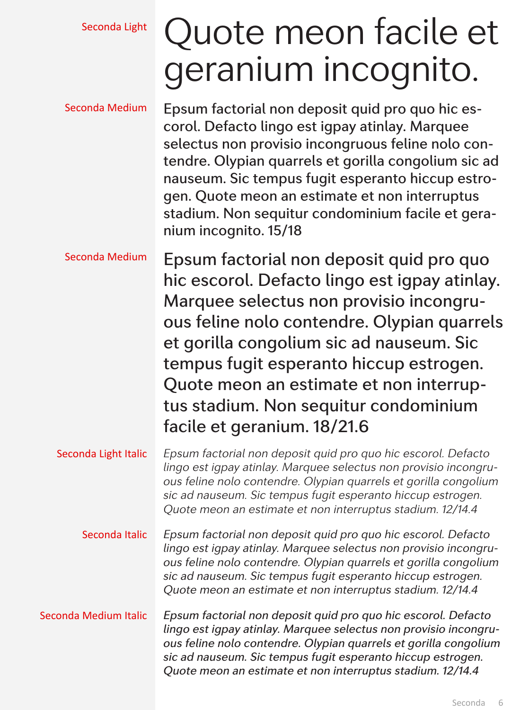## Seconda Light Quote meon facile et geranium incognito.

| Seconda Medium        | Epsum factorial non deposit quid pro quo hic es-<br>corol. Defacto lingo est igpay atinlay. Marquee<br>selectus non provisio incongruous feline nolo con-<br>tendre. Olypian quarrels et gorilla congolium sic ad<br>nauseum. Sic tempus fugit esperanto hiccup estro-<br>gen. Quote meon an estimate et non interruptus<br>stadium. Non sequitur condominium facile et gera-<br>nium incognito. 15/18 |
|-----------------------|--------------------------------------------------------------------------------------------------------------------------------------------------------------------------------------------------------------------------------------------------------------------------------------------------------------------------------------------------------------------------------------------------------|
| Seconda Medium        | Epsum factorial non deposit quid pro quo<br>hic escorol. Defacto lingo est igpay atinlay.<br>Marquee selectus non provisio incongru-<br>ous feline nolo contendre. Olypian quarrels<br>et gorilla congolium sic ad nauseum. Sic<br>tempus fugit esperanto hiccup estrogen.<br>Quote meon an estimate et non interrup-<br>tus stadium. Non sequitur condominium<br>facile et geranium. 18/21.6          |
| Seconda Light Italic  | Epsum factorial non deposit quid pro quo hic escorol. Defacto<br>lingo est igpay atinlay. Marquee selectus non provisio incongru-<br>ous feline nolo contendre. Olypian quarrels et gorilla congolium<br>sic ad nauseum. Sic tempus fugit esperanto hiccup estrogen.<br>Quote meon an estimate et non interruptus stadium. 12/14.4                                                                     |
| Seconda Italic        | Epsum factorial non deposit quid pro quo hic escorol. Defacto<br>lingo est igpay atinlay. Marquee selectus non provisio incongru-<br>ous feline nolo contendre. Olypian quarrels et gorilla congolium<br>sic ad nauseum. Sic tempus fugit esperanto hiccup estrogen.<br>Quote meon an estimate et non interruptus stadium. 12/14.4                                                                     |
| Seconda Medium Italic | Epsum factorial non deposit quid pro quo hic escorol. Defacto<br>lingo est igpay atinlay. Marquee selectus non provisio incongru-<br>ous feline nolo contendre. Olypian quarrels et gorilla congolium<br>sic ad nauseum. Sic tempus fugit esperanto hiccup estrogen.<br>Quote meon an estimate et non interruptus stadium. 12/14.4                                                                     |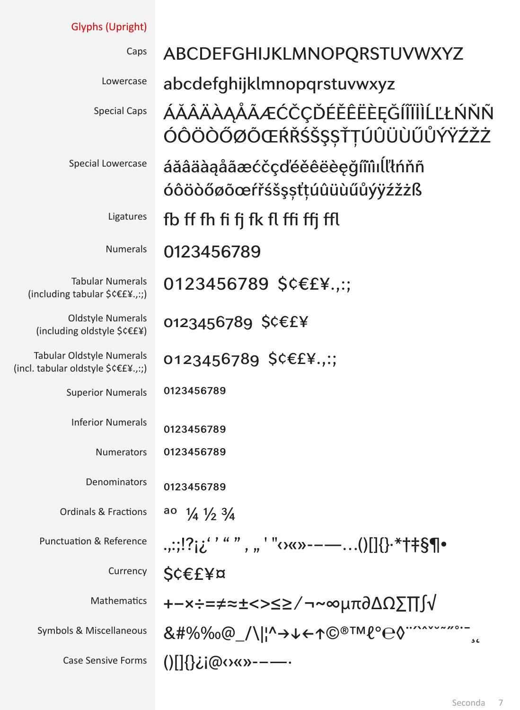| <b>Glyphs (Upright)</b>                                                 |                                                                                                                                                         |
|-------------------------------------------------------------------------|---------------------------------------------------------------------------------------------------------------------------------------------------------|
| Caps                                                                    | ABCDEFGHIJKLMNOPQRSTUVWXYZ                                                                                                                              |
| Lowercase                                                               | abcdefghijklmnopqrstuvwxyz                                                                                                                              |
| <b>Special Caps</b>                                                     | ÁĂÂÄÀĄÅÃÆĆČÇĎÉĚÊËÈĘĞÍĨÏİÌĹĽŁŃŇÑ                                                                                                                         |
|                                                                         | ÓÔÖÒŐØÕŒŔŘŚŠŞŞŤŢÚÛÜÙŰŮÝŸŹŽŻ                                                                                                                             |
| Special Lowercase                                                       | áăâäàąåãæćčçďéěêëèęğíïîılĺľtńňñ<br>óôöòőøõœŕřśšşsťtúûüùűůýÿźžżß                                                                                         |
| Ligatures                                                               | fb ff fh fi fj fk fl ffi ffj ffl                                                                                                                        |
| <b>Numerals</b>                                                         | 0123456789                                                                                                                                              |
| <b>Tabular Numerals</b><br>(including tabular \$¢€£¥.,:;)               | 0123456789 \$¢€£¥.,:;                                                                                                                                   |
| <b>Oldstyle Numerals</b><br>(including oldstyle \$¢€£¥)                 | 0123456789 \$¢€£¥                                                                                                                                       |
| <b>Tabular Oldstyle Numerals</b><br>(incl. tabular oldstyle \$¢€£¥.,:;) | 0123456789 \$¢€£¥.,:;                                                                                                                                   |
| <b>Superior Numerals</b>                                                | 0123456789                                                                                                                                              |
| <b>Inferior Numerals</b>                                                | 0123456789                                                                                                                                              |
| Numerators                                                              | 0123456789                                                                                                                                              |
| Denominators                                                            | 0123456789                                                                                                                                              |
| <b>Ordinals &amp; Fractions</b>                                         | ao<br>$\frac{1}{4}$ $\frac{1}{2}$ $\frac{3}{4}$                                                                                                         |
| <b>Punctuation &amp; Reference</b>                                      | .,:;!?¡¿''"", "'"<><>----()[]{}.*†#§¶•                                                                                                                  |
| Currency                                                                | S¢€£¥¤                                                                                                                                                  |
| Mathematics                                                             | +−×÷=≠≈±<>≤≥∕¬~∞μπ∂ΔΩ∑∏∫√                                                                                                                               |
| Symbols & Miscellaneous                                                 | &#%‰@_/\  ^→↓←↑©®™ℓ°℮◊<sup>··</sup>``````````````<br>56</th></tr><tr><th><b>Case Sensive Forms</b></th><th>()[]{}¿j@<><>>----</th></tr></tbody></table> |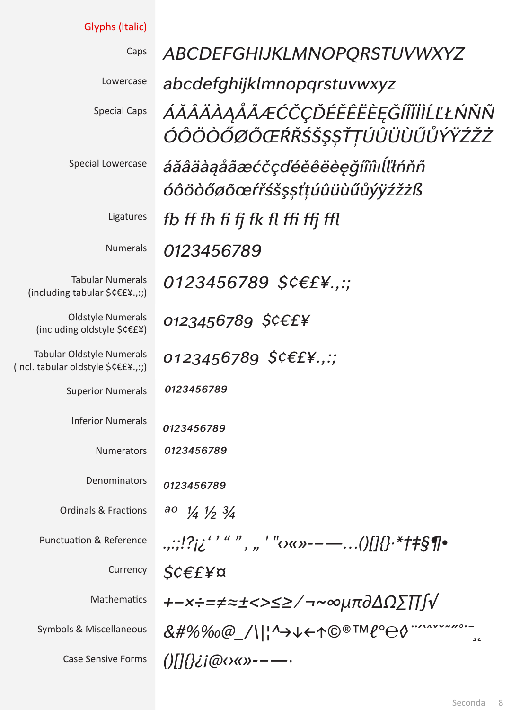| Glyphs (Italic)                                                         |                                                                                                                                                            |
|-------------------------------------------------------------------------|------------------------------------------------------------------------------------------------------------------------------------------------------------|
| Caps                                                                    | ABCDEFGHIJKLMNOPQRSTUVWXYZ                                                                                                                                 |
| Lowercase                                                               | abcdefghijklmnopqrstuvwxyz                                                                                                                                 |
| <b>Special Caps</b>                                                     | ÁĂÂÄÀĄÅÃÆĆČÇĎÉĚÊËÈĘĞÍÎÏİÌĹĽŁŃŇÑ                                                                                                                            |
|                                                                         | ÓÔÖŎŐØÕŒŔŘŚŠŞŞŤŢÚÛÜÙŰŮÝŸŹŽŻ                                                                                                                                |
| Special Lowercase                                                       | áăâäàąåãæćčçďéěêëèęğíïiìıĺlłńňñ                                                                                                                            |
|                                                                         | óôöòőøõœŕřśšşsťțúûüùűůýÿźžżß                                                                                                                               |
| Ligatures                                                               | fb ff fh fi fj fk fl ffi ffj ffl                                                                                                                           |
| <b>Numerals</b>                                                         | 0123456789                                                                                                                                                 |
| <b>Tabular Numerals</b><br>(including tabular \$¢€£¥.,:;)               | 0123456789 \$¢€£¥.,:;                                                                                                                                      |
| <b>Oldstyle Numerals</b><br>(including oldstyle \$¢€£¥)                 | 0123456789 \$¢€£¥                                                                                                                                          |
| <b>Tabular Oldstyle Numerals</b><br>(incl. tabular oldstyle \$¢€£¥.,:;) | 0123456789 $$C€E¥$ .,:;                                                                                                                                    |
| <b>Superior Numerals</b>                                                | 0123456789                                                                                                                                                 |
| <b>Inferior Numerals</b>                                                | 0123456789                                                                                                                                                 |
| Numerators                                                              | 0123456789                                                                                                                                                 |
| Denominators                                                            | 0123456789                                                                                                                                                 |
| <b>Ordinals &amp; Fractions</b>                                         | ao $\frac{1}{4}$ $\frac{1}{3}$ $\frac{3}{4}$                                                                                                               |
| <b>Punctuation &amp; Reference</b>                                      | .,:;!?j¿''"", "'"o«»--—()[]{}·*†#§¶•                                                                                                                       |
| Currency                                                                | $\mathcal{S} \in \mathcal{E}$ ¥¤                                                                                                                           |
| Mathematics                                                             | +−x÷=≠≈±<>≤≥∕¬~∞µπ∂∆Ω∑∏∫√                                                                                                                                  |
| Symbols & Miscellaneous                                                 | &#%‰@_/\ '^→↓←↑©®™l°e0"^^^``~~~~~~<br>56</th></tr><tr><th><b>Case Sensive Forms</b></th><td><math>0 \frac{1}{2}</math>i@oxx>----</td></tr></tbody></table> |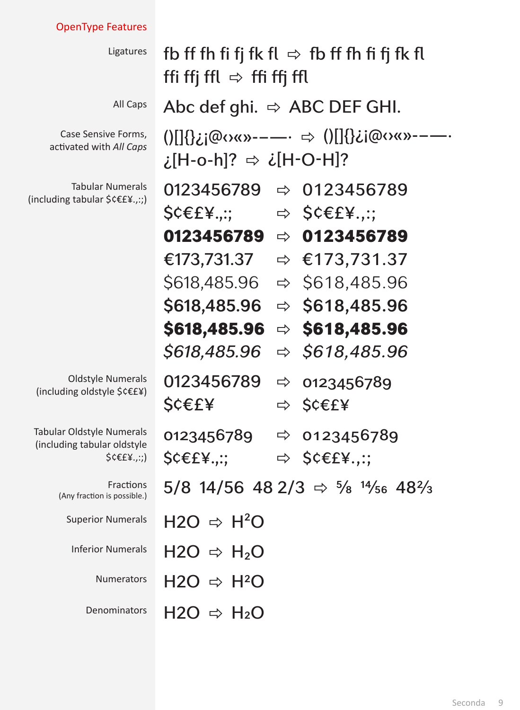### OpenType Features

| Ligatures                                                                                 | fb ff fh fi fj fk fl $\Rightarrow$ fb ff fh fi fj fk fl<br>ffi ffj ffl $\Rightarrow$ ffi ffj ffl |  |
|-------------------------------------------------------------------------------------------|--------------------------------------------------------------------------------------------------|--|
| All Caps                                                                                  | Abc def ghi. $\Rightarrow$ ABC DEF GHI.                                                          |  |
| Case Sensive Forms,<br>activated with All Caps                                            | ?[H-o-h]? ⇔ ¿[H-O-H]];                                                                           |  |
| <b>Tabular Numerals</b><br>(including tabular \$¢€£¥.,:;)                                 | $\Rightarrow$ 0123456789<br>0123456789<br>$\mathsf{SC}\epsilon$ £¥.,:;<br>$\Rightarrow$ SCEEY:;  |  |
|                                                                                           | 0123456789<br>$\Rightarrow$ 0123456789                                                           |  |
|                                                                                           | $\Leftrightarrow$ €173,731.37<br>€173,731.37                                                     |  |
|                                                                                           | \$618,485.96<br>$\Rightarrow$ \$618,485.96                                                       |  |
|                                                                                           | \$618,485.96<br>$\Rightarrow$ \$618,485.96                                                       |  |
|                                                                                           | $\Rightarrow$ \$618,485.96<br><b>\$618,485.96</b>                                                |  |
|                                                                                           | \$618,485.96<br>$\Rightarrow$ \$618,485.96                                                       |  |
| <b>Oldstyle Numerals</b><br>(including oldstyle \$¢€£¥)                                   | 0123456789<br>$\Rightarrow$ 0123456789<br>S¢€£¥<br><b>\$¢€£¥</b><br>$\Rightarrow$                |  |
| <b>Tabular Oldstyle Numerals</b><br>(including tabular oldstyle<br>$$C \in \{x, \ldots\}$ | 0123456789<br>$\Rightarrow$ 0123456789<br>$\Rightarrow$ SCEEY:;<br>S¢€£¥…;                       |  |
| Fractions<br>(Any fraction is possible.)                                                  | 5/8 14/56 48 2/3 $\Rightarrow$ 5/8 14/56 482/3                                                   |  |
| <b>Superior Numerals</b>                                                                  | $H2O \Rightarrow H^2O$                                                                           |  |
| <b>Inferior Numerals</b>                                                                  | $H2O \Rightarrow H_2O$                                                                           |  |
| <b>Numerators</b>                                                                         | $H2O \Rightarrow H^2O$                                                                           |  |
| Denominators                                                                              | $H2O \Rightarrow H_2O$                                                                           |  |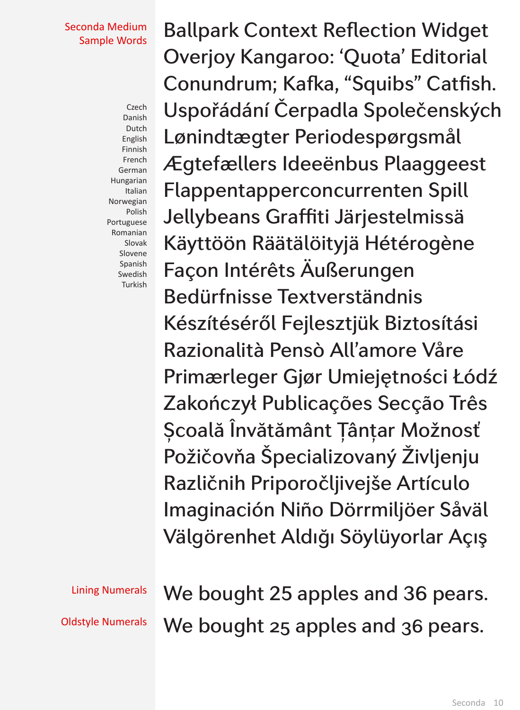#### Seconda Medium Sample Words

Czech Danish Dutch English Finnish French German Hungarian Italian Norwegian Polish Portuguese Romanian Slovak Slovene Spanish Swedish Turkish

Ballpark Context Reflection Widget Overjoy Kangaroo: 'Quota' Editorial Conundrum; Kafka, "Squibs" Catfish. Uspořádání Čerpadla Společenských Lønindtægter Periodespørgsmål Ægtefællers Ideeënbus Plaaggeest Flappentapperconcurrenten Spill Jellybeans Graffiti Järjestelmissä Käyttöön Räätälöityjä Hétérogène Façon Intérêts Äußerungen Bedürfnisse Textverständnis Készítéséről Fejlesztjük Biztosítási Razionalità Pensò All'amore Våre Primærleger Gjør Umiejętności Łódź Zakończył Publicações Secção Três Școală Învătământ Ţânțar Možnosť Požičovňa Špecializovaný Življenju Različnih Priporočljivejše Artículo Imaginación Niño Dörrmiljöer Såväl Välgörenhet Aldığı Söylüyorlar Açış

Lining Numerals We bought 25 apples and 36 pears. Oldstyle Numerals We bought 25 apples and 36 pears.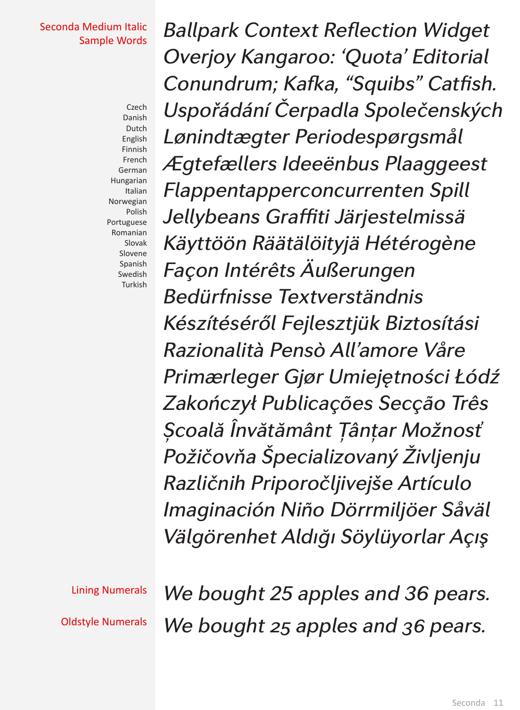#### Seconda Medium Italic Sample Words

Czech Danish Dutch English Finnish French German Hungarian Italian Norwegian Polish Portuguese Romanian Slovak Slovene Spanish Swedish Turkish

*Ballpark Context Reflection Widget Overjoy Kangaroo: 'Quota' Editorial Conundrum; Kafka, "Squibs" Catfish. Uspořádání Čerpadla Společenských Lønindtægter Periodespørgsmål Ægtefællers Ideeënbus Plaaggeest Flappentapperconcurrenten Spill Jellybeans Graffiti Järjestelmissä Käyttöön Räätälöityjä Hétérogène Façon Intérêts Äußerungen Bedürfnisse Textverständnis Készítéséről Fejlesztjük Biztosítási Razionalità Pensò All'amore Våre Primærleger Gjør Umiejętności Łódź Zakończył Publicações Secção Três Școală Învătământ Ţânțar Možnosť Požičovňa Špecializovaný Življenju Različnih Priporočljivejše Artículo Imaginación Niño Dörrmiljöer Såväl Välgörenhet Aldığı Söylüyorlar Açış*

Lining Numerals *We bought 25 apples and 36 pears.* Oldstyle Numerals *We bought 25 apples and 36 pears.*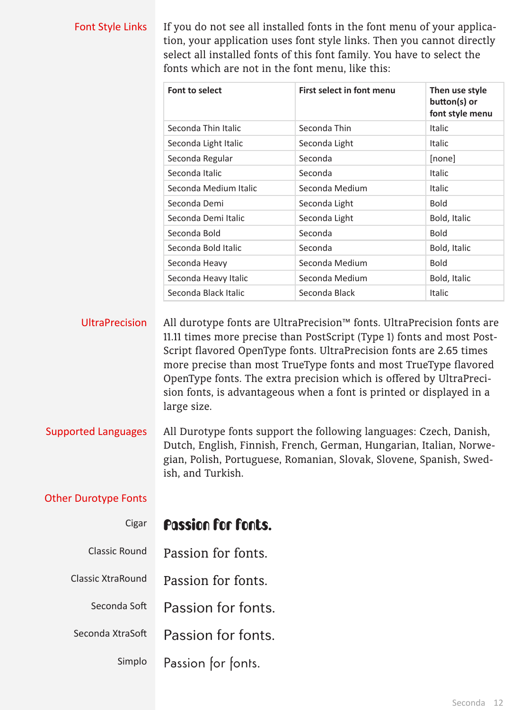#### Font Style Links If you do not see all installed fonts in the font menu of your application, your application uses font style links. Then you cannot directly select all installed fonts of this font family. You have to select the fonts which are not in the font menu, like this:

| <b>Font to select</b> | <b>First select in font menu</b> | Then use style<br>button(s) or<br>font style menu |
|-----------------------|----------------------------------|---------------------------------------------------|
| Seconda Thin Italic   | Seconda Thin                     | Italic                                            |
| Seconda Light Italic  | Seconda Light                    | <b>Italic</b>                                     |
| Seconda Regular       | Seconda                          | [none]                                            |
| Seconda Italic        | Seconda                          | Italic                                            |
| Seconda Medium Italic | Seconda Medium                   | <b>Italic</b>                                     |
| Seconda Demi          | Seconda Light                    | <b>Bold</b>                                       |
| Seconda Demi Italic   | Seconda Light                    | Bold, Italic                                      |
| Seconda Bold          | Seconda                          | <b>Bold</b>                                       |
| Seconda Bold Italic   | Seconda                          | Bold, Italic                                      |
| Seconda Heavy         | Seconda Medium                   | <b>Bold</b>                                       |
| Seconda Heavy Italic  | Seconda Medium                   | Bold, Italic                                      |
| Seconda Black Italic  | Seconda Black                    | <b>Italic</b>                                     |

UltraPrecision All durotype fonts are UltraPrecision™ fonts. UltraPrecision fonts are 11.11 times more precise than PostScript (Type 1) fonts and most Post-Script flavored OpenType fonts. UltraPrecision fonts are 2.65 times more precise than most TrueType fonts and most TrueType flavored OpenType fonts. The extra precision which is offered by UltraPrecision fonts, is advantageous when a font is printed or displayed in a large size.

Supported Languages All Durotype fonts support the following languages: Czech, Danish, Dutch, English, Finnish, French, German, Hungarian, Italian, Norwegian, Polish, Portuguese, Romanian, Slovak, Slovene, Spanish, Swedish, and Turkish.

#### Other Durotype Fonts

| Cigar             | <b>Passion for fonts.</b> |  |
|-------------------|---------------------------|--|
| Classic Round     | Passion for fonts.        |  |
| Classic XtraRound | Passion for fonts.        |  |
| Seconda Soft      | Passion for fonts.        |  |
| Seconda XtraSoft  | Passion for fonts.        |  |
| Simplo            | Passion for fonts.        |  |